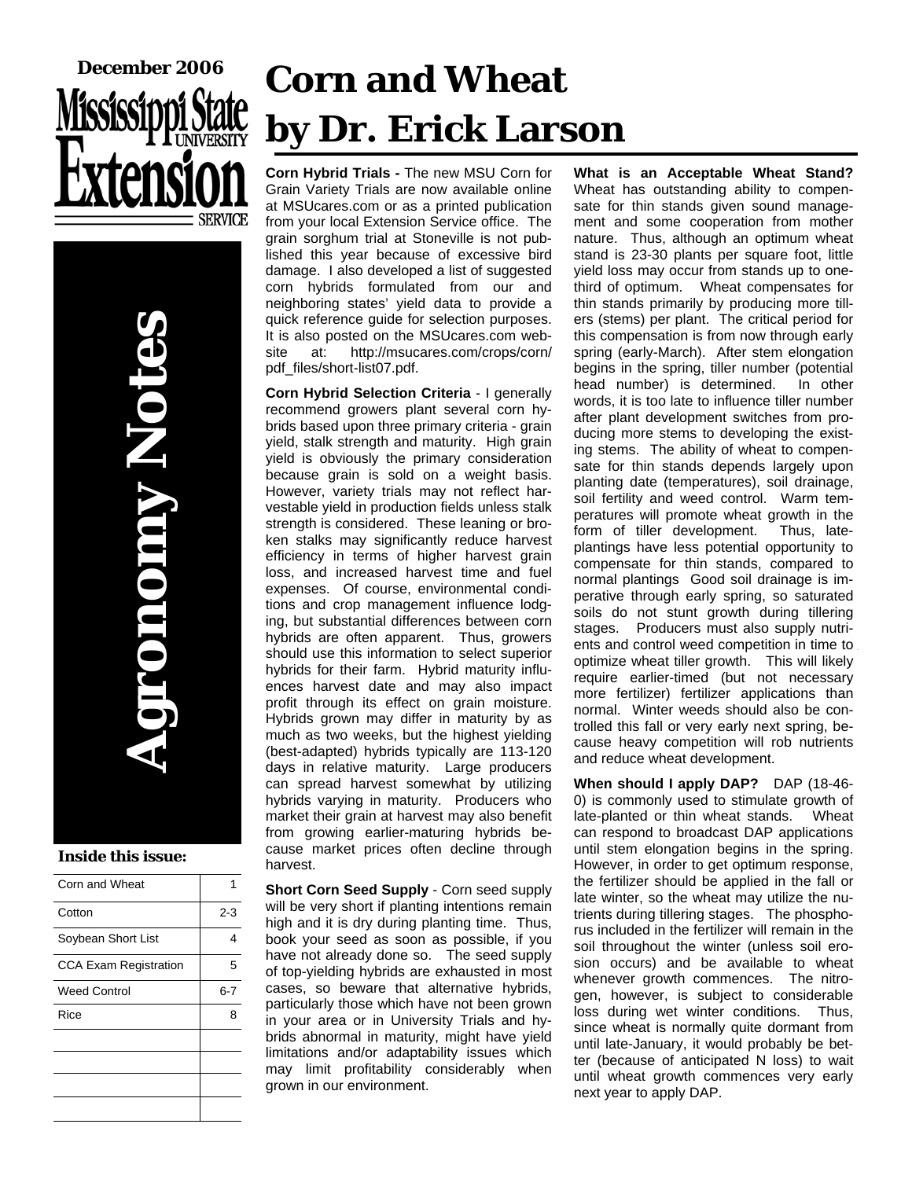

**Agronomy Notes DIODINY NOTO** 

#### **Inside this issue:**

| Corn and Wheat               |         |
|------------------------------|---------|
| Cotton                       | $2 - 3$ |
| Soybean Short List           | Δ       |
| <b>CCA Exam Registration</b> | 5       |
| <b>Weed Control</b>          | 6-7     |
| Rice                         | я       |
|                              |         |
|                              |         |
|                              |         |
|                              |         |

# **Corn and Wheat by Dr. Erick Larson**

**Corn Hybrid Trials -** The new MSU Corn for Grain Variety Trials are now available online at MSUcares.com or as a printed publication from your local Extension Service office. The grain sorghum trial at Stoneville is not published this year because of excessive bird damage. I also developed a list of suggested corn hybrids formulated from our and neighboring states' yield data to provide a quick reference guide for selection purposes. It is also posted on the MSUcares.com website at: http://msucares.com/crops/corn/ pdf\_files/short-list07.pdf.

**Corn Hybrid Selection Criteria** - I generally recommend growers plant several corn hybrids based upon three primary criteria - grain yield, stalk strength and maturity. High grain yield is obviously the primary consideration because grain is sold on a weight basis. However, variety trials may not reflect harvestable yield in production fields unless stalk strength is considered. These leaning or broken stalks may significantly reduce harvest efficiency in terms of higher harvest grain loss, and increased harvest time and fuel expenses. Of course, environmental conditions and crop management influence lodging, but substantial differences between corn hybrids are often apparent. Thus, growers should use this information to select superior hybrids for their farm. Hybrid maturity influences harvest date and may also impact profit through its effect on grain moisture. Hybrids grown may differ in maturity by as much as two weeks, but the highest yielding (best-adapted) hybrids typically are 113-120 days in relative maturity. Large producers can spread harvest somewhat by utilizing hybrids varying in maturity. Producers who market their grain at harvest may also benefit from growing earlier-maturing hybrids because market prices often decline through harvest.

**Short Corn Seed Supply** - Corn seed supply will be very short if planting intentions remain high and it is dry during planting time. Thus, book your seed as soon as possible, if you have not already done so. The seed supply of top-yielding hybrids are exhausted in most cases, so beware that alternative hybrids, particularly those which have not been grown in your area or in University Trials and hybrids abnormal in maturity, might have yield limitations and/or adaptability issues which may limit profitability considerably when grown in our environment.

**What is an Acceptable Wheat Stand?**  Wheat has outstanding ability to compensate for thin stands given sound management and some cooperation from mother nature. Thus, although an optimum wheat stand is 23-30 plants per square foot, little yield loss may occur from stands up to onethird of optimum. Wheat compensates for thin stands primarily by producing more tillers (stems) per plant. The critical period for this compensation is from now through early spring (early-March). After stem elongation begins in the spring, tiller number (potential head number) is determined. In other words, it is too late to influence tiller number after plant development switches from producing more stems to developing the existing stems. The ability of wheat to compensate for thin stands depends largely upon planting date (temperatures), soil drainage, soil fertility and weed control. Warm temperatures will promote wheat growth in the form of tiller development. Thus, lateplantings have less potential opportunity to compensate for thin stands, compared to normal plantings Good soil drainage is imperative through early spring, so saturated soils do not stunt growth during tillering stages. Producers must also supply nutrients and control weed competition in time to optimize wheat tiller growth. This will likely require earlier-timed (but not necessary more fertilizer) fertilizer applications than normal. Winter weeds should also be controlled this fall or very early next spring, because heavy competition will rob nutrients and reduce wheat development.

**When should I apply DAP?** DAP (18-46- 0) is commonly used to stimulate growth of late-planted or thin wheat stands. Wheat can respond to broadcast DAP applications until stem elongation begins in the spring. However, in order to get optimum response, the fertilizer should be applied in the fall or late winter, so the wheat may utilize the nutrients during tillering stages. The phosphorus included in the fertilizer will remain in the soil throughout the winter (unless soil erosion occurs) and be available to wheat whenever growth commences. The nitrogen, however, is subject to considerable loss during wet winter conditions. Thus, since wheat is normally quite dormant from until late-January, it would probably be better (because of anticipated N loss) to wait until wheat growth commences very early next year to apply DAP.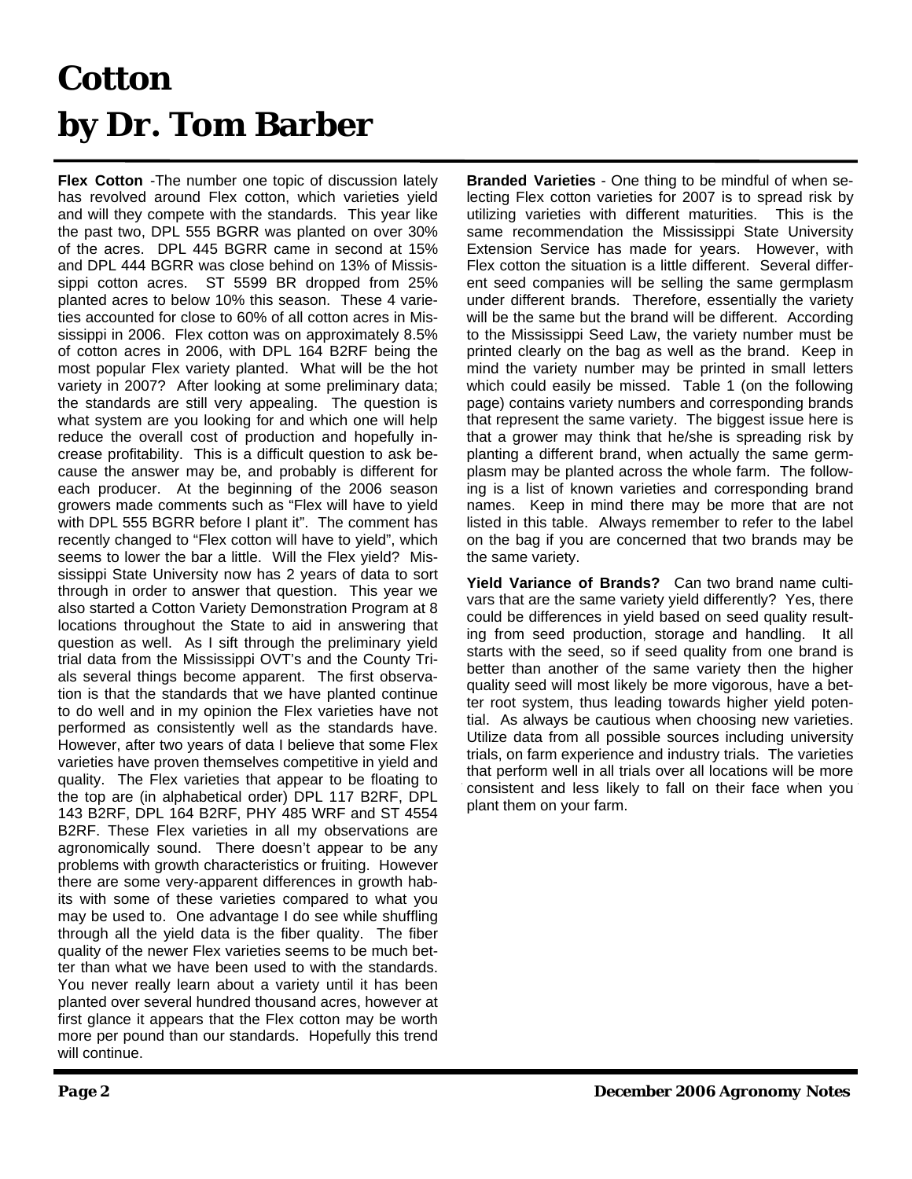## **Cotton by Dr. Tom Barber**

**Flex Cotton** -The number one topic of discussion lately has revolved around Flex cotton, which varieties yield and will they compete with the standards. This year like the past two, DPL 555 BGRR was planted on over 30% of the acres. DPL 445 BGRR came in second at 15% and DPL 444 BGRR was close behind on 13% of Mississippi cotton acres. ST 5599 BR dropped from 25% planted acres to below 10% this season. These 4 varieties accounted for close to 60% of all cotton acres in Mississippi in 2006. Flex cotton was on approximately 8.5% of cotton acres in 2006, with DPL 164 B2RF being the most popular Flex variety planted. What will be the hot variety in 2007? After looking at some preliminary data; the standards are still very appealing. The question is what system are you looking for and which one will help reduce the overall cost of production and hopefully increase profitability. This is a difficult question to ask because the answer may be, and probably is different for each producer. At the beginning of the 2006 season growers made comments such as "Flex will have to yield with DPL 555 BGRR before I plant it". The comment has recently changed to "Flex cotton will have to yield", which seems to lower the bar a little. Will the Flex yield? Mississippi State University now has 2 years of data to sort through in order to answer that question. This year we also started a Cotton Variety Demonstration Program at 8 locations throughout the State to aid in answering that question as well. As I sift through the preliminary yield trial data from the Mississippi OVT's and the County Trials several things become apparent. The first observation is that the standards that we have planted continue to do well and in my opinion the Flex varieties have not performed as consistently well as the standards have. However, after two years of data I believe that some Flex varieties have proven themselves competitive in yield and quality. The Flex varieties that appear to be floating to the top are (in alphabetical order) DPL 117 B2RF, DPL 143 B2RF, DPL 164 B2RF, PHY 485 WRF and ST 4554 B2RF. These Flex varieties in all my observations are agronomically sound. There doesn't appear to be any problems with growth characteristics or fruiting. However there are some very-apparent differences in growth habits with some of these varieties compared to what you may be used to. One advantage I do see while shuffling through all the yield data is the fiber quality. The fiber quality of the newer Flex varieties seems to be much better than what we have been used to with the standards. You never really learn about a variety until it has been planted over several hundred thousand acres, however at first glance it appears that the Flex cotton may be worth more per pound than our standards. Hopefully this trend will continue.

**Branded Varieties** - One thing to be mindful of when selecting Flex cotton varieties for 2007 is to spread risk by utilizing varieties with different maturities. This is the same recommendation the Mississippi State University Extension Service has made for years. However, with Flex cotton the situation is a little different. Several different seed companies will be selling the same germplasm under different brands. Therefore, essentially the variety will be the same but the brand will be different. According to the Mississippi Seed Law, the variety number must be printed clearly on the bag as well as the brand. Keep in mind the variety number may be printed in small letters which could easily be missed. Table 1 (on the following page) contains variety numbers and corresponding brands that represent the same variety. The biggest issue here is that a grower may think that he/she is spreading risk by planting a different brand, when actually the same germplasm may be planted across the whole farm. The following is a list of known varieties and corresponding brand names. Keep in mind there may be more that are not listed in this table. Always remember to refer to the label on the bag if you are concerned that two brands may be the same variety.

**Yield Variance of Brands?** Can two brand name cultivars that are the same variety yield differently? Yes, there could be differences in yield based on seed quality resulting from seed production, storage and handling. It all starts with the seed, so if seed quality from one brand is better than another of the same variety then the higher quality seed will most likely be more vigorous, have a better root system, thus leading towards higher yield potential. As always be cautious when choosing new varieties. Utilize data from all possible sources including university trials, on farm experience and industry trials. The varieties that perform well in all trials over all locations will be more consistent and less likely to fall on their face when you plant them on your farm.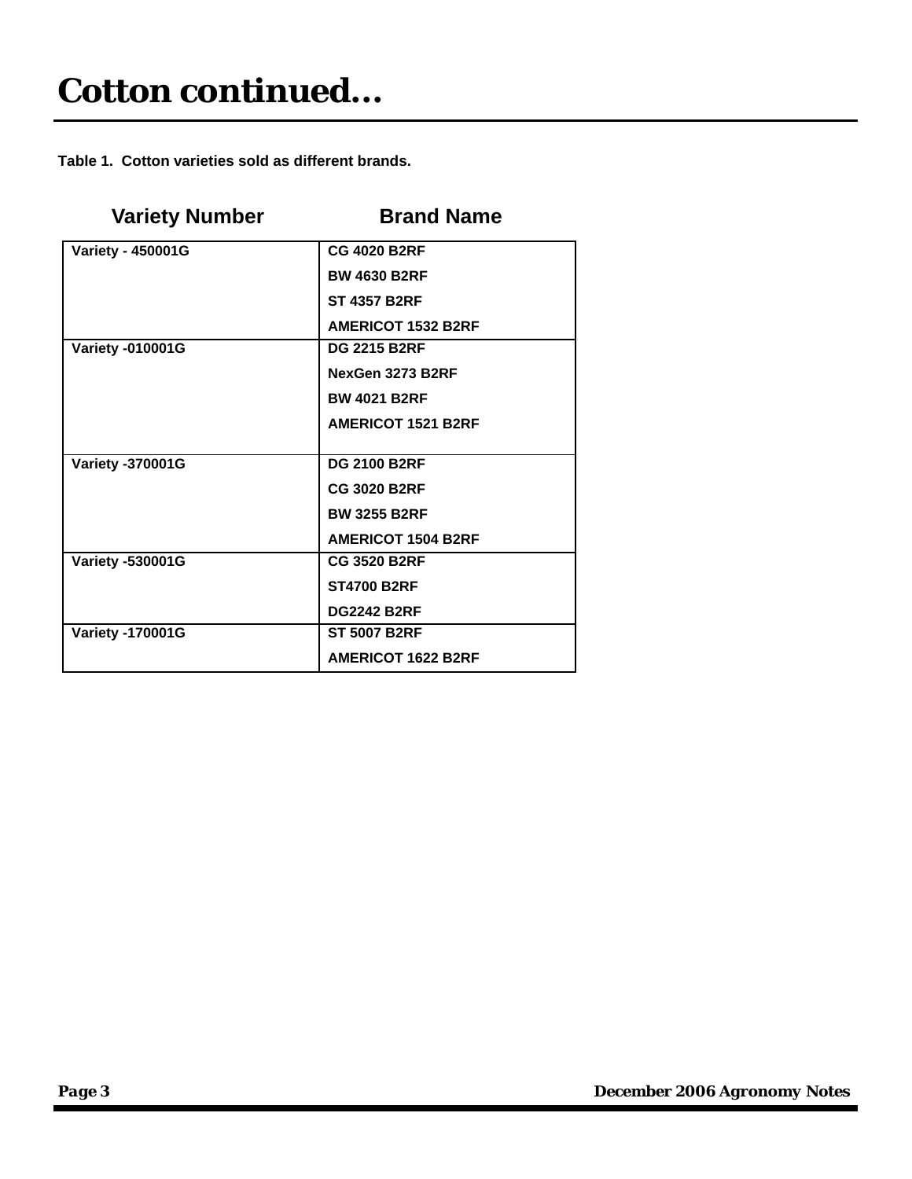**Table 1. Cotton varieties sold as different brands.** 

| <b>Variety Number</b>    | <b>Brand Name</b>         |  |
|--------------------------|---------------------------|--|
| <b>Variety - 450001G</b> | <b>CG 4020 B2RF</b>       |  |
|                          | <b>BW 4630 B2RF</b>       |  |
|                          | <b>ST 4357 B2RF</b>       |  |
|                          | <b>AMERICOT 1532 B2RF</b> |  |
| <b>Variety -010001G</b>  | <b>DG 2215 B2RF</b>       |  |
|                          | NexGen 3273 B2RF          |  |
|                          | <b>BW 4021 B2RF</b>       |  |
|                          | <b>AMERICOT 1521 B2RF</b> |  |
|                          |                           |  |
| <b>Variety -370001G</b>  | <b>DG 2100 B2RF</b>       |  |
|                          | <b>CG 3020 B2RF</b>       |  |
|                          | <b>BW 3255 B2RF</b>       |  |
|                          | <b>AMERICOT 1504 B2RF</b> |  |
| <b>Variety -530001G</b>  | <b>CG 3520 B2RF</b>       |  |
|                          | <b>ST4700 B2RF</b>        |  |
|                          | <b>DG2242 B2RF</b>        |  |
| <b>Variety -170001G</b>  | <b>ST 5007 B2RF</b>       |  |
|                          | <b>AMERICOT 1622 B2RF</b> |  |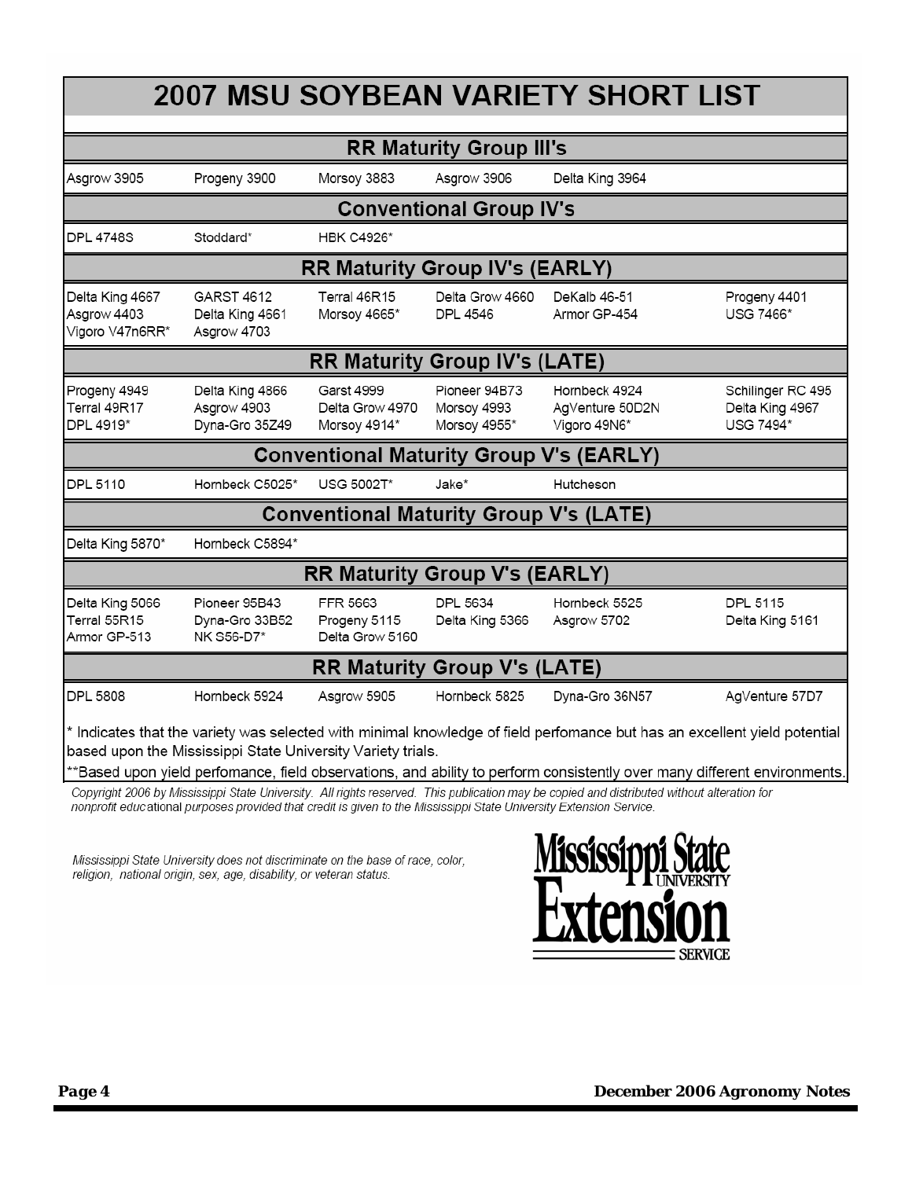| <b>2007 MSU SOYBEAN VARIETY SHORT LIST</b>        |                                                             |                                                      |                                              |                                                                                                                                            |                                                                                                                                                                                                                                                       |  |
|---------------------------------------------------|-------------------------------------------------------------|------------------------------------------------------|----------------------------------------------|--------------------------------------------------------------------------------------------------------------------------------------------|-------------------------------------------------------------------------------------------------------------------------------------------------------------------------------------------------------------------------------------------------------|--|
| <b>RR Maturity Group III's</b>                    |                                                             |                                                      |                                              |                                                                                                                                            |                                                                                                                                                                                                                                                       |  |
| Asgrow 3905                                       | Progeny 3900                                                | Morsoy 3883                                          | Asgrow 3906                                  | Delta King 3964                                                                                                                            |                                                                                                                                                                                                                                                       |  |
| <b>Conventional Group IV's</b>                    |                                                             |                                                      |                                              |                                                                                                                                            |                                                                                                                                                                                                                                                       |  |
| <b>DPL 4748S</b>                                  | Stoddard*                                                   | <b>HBK C4926*</b>                                    |                                              |                                                                                                                                            |                                                                                                                                                                                                                                                       |  |
| <b>RR Maturity Group IV's (EARLY)</b>             |                                                             |                                                      |                                              |                                                                                                                                            |                                                                                                                                                                                                                                                       |  |
| Delta King 4667<br>Asgrow 4403<br>Vigoro V47n6RR* | <b>GARST 4612</b><br>Delta King 4661<br>Asgrow 4703         | Terral 46R15<br>Morsoy 4665*                         | Delta Grow 4660<br>DPL 4546                  | DeKalb 46-51<br>Armor GP-454                                                                                                               | Progeny 4401<br>USG 7466*                                                                                                                                                                                                                             |  |
| <b>RR Maturity Group IV's (LATE)</b>              |                                                             |                                                      |                                              |                                                                                                                                            |                                                                                                                                                                                                                                                       |  |
| Progeny 4949<br>Terral 49R17<br>DPL 4919*         | Delta King 4866<br>Asgrow 4903<br>Dyna-Gro 35Z49            | <b>Garst 4999</b><br>Delta Grow 4970<br>Morsoy 4914* | Pioneer 94B73<br>Morsoy 4993<br>Morsoy 4955* | Hornbeck 4924<br>AgVenture 50D2N<br>Vigoro 49N6*                                                                                           | Schilinger RC 495<br>Delta King 4967<br>USG 7494*                                                                                                                                                                                                     |  |
| <b>Conventional Maturity Group V's (EARLY)</b>    |                                                             |                                                      |                                              |                                                                                                                                            |                                                                                                                                                                                                                                                       |  |
| DPL 5110                                          | Hornbeck C5025*                                             | USG 5002T*                                           | Jake*                                        | Hutcheson                                                                                                                                  |                                                                                                                                                                                                                                                       |  |
| <b>Conventional Maturity Group V's (LATE)</b>     |                                                             |                                                      |                                              |                                                                                                                                            |                                                                                                                                                                                                                                                       |  |
| Delta King 5870*                                  | Hornbeck C5894*                                             |                                                      |                                              |                                                                                                                                            |                                                                                                                                                                                                                                                       |  |
| <b>RR Maturity Group V's (EARLY)</b>              |                                                             |                                                      |                                              |                                                                                                                                            |                                                                                                                                                                                                                                                       |  |
| Delta King 5066<br>Terral 55R15<br>Armor GP-513   | Pioneer 95B43<br>Dyna-Gro 33B52<br>NK S56-D7*               | FFR 5663<br>Progeny 5115<br>Delta Grow 5160          | DPL 5634<br>Delta King 5366                  | Hornbeck 5525<br>Asgrow 5702                                                                                                               | DPL 5115<br>Delta King 5161                                                                                                                                                                                                                           |  |
| <b>RR Maturity Group V's (LATE)</b>               |                                                             |                                                      |                                              |                                                                                                                                            |                                                                                                                                                                                                                                                       |  |
| <b>DPL 5808</b>                                   | Hornbeck 5924                                               | Asgrow 5905                                          | Hornbeck 5825                                | Dyna-Gro 36N57                                                                                                                             | AgVenture 57D7                                                                                                                                                                                                                                        |  |
|                                                   | based upon the Mississippi State University Variety trials. |                                                      |                                              | Copyright 2006 by Mississippi State University. All rights reserved. This publication may be copied and distributed without alteration for | * Indicates that the variety was selected with minimal knowledge of field perfomance but has an excellent yield potential<br>**Based upon yield perfomance, field observations, and ability to perform consistently over many different environments. |  |

Mississippi State University does not discriminate on the base of race, color, religion, national origin, sex, age, disability, or veteran status.

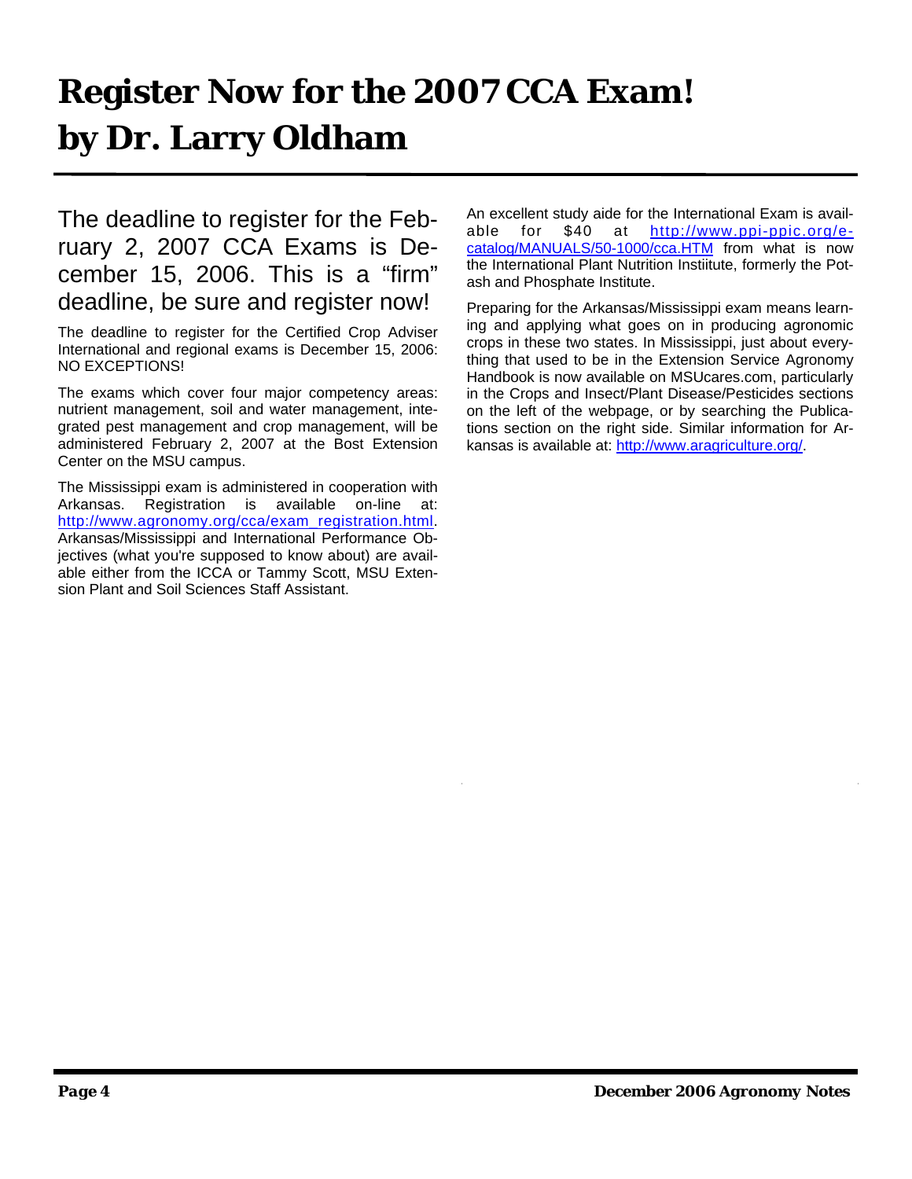# **Register Now for the 2007 CCA Exam! by Dr. Larry Oldham**

The deadline to register for the February 2, 2007 CCA Exams is December 15, 2006. This is a "firm" deadline, be sure and register now!

The deadline to register for the Certified Crop Adviser International and regional exams is December 15, 2006: NO EXCEPTIONS!

The exams which cover four major competency areas: nutrient management, soil and water management, integrated pest management and crop management, will be administered February 2, 2007 at the Bost Extension Center on the MSU campus.

The Mississippi exam is administered in cooperation with Arkansas. Registration is available on-line at: http://www.agronomy.org/cca/exam\_registration.html. Arkansas/Mississippi and International Performance Objectives (what you're supposed to know about) are available either from the ICCA or Tammy Scott, MSU Extension Plant and Soil Sciences Staff Assistant.

An excellent study aide for the International Exam is available for \$40 at http://www.ppi-ppic.org/ecatalog/MANUALS/50-1000/cca.HTM from what is now the International Plant Nutrition Instiitute, formerly the Potash and Phosphate Institute.

Preparing for the Arkansas/Mississippi exam means learning and applying what goes on in producing agronomic crops in these two states. In Mississippi, just about everything that used to be in the Extension Service Agronomy Handbook is now available on MSUcares.com, particularly in the Crops and Insect/Plant Disease/Pesticides sections on the left of the webpage, or by searching the Publications section on the right side. Similar information for Arkansas is available at: http://www.aragriculture.org/.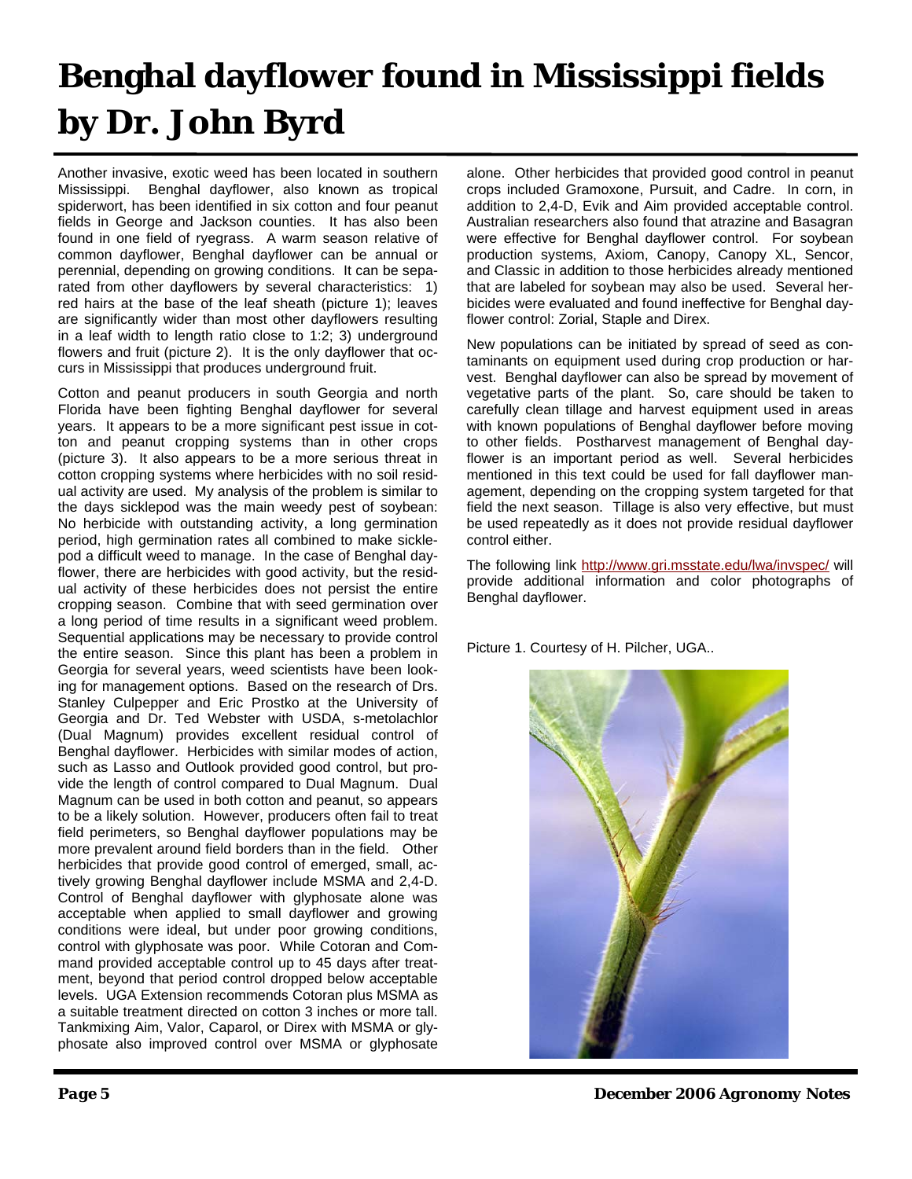# **Benghal dayflower found in Mississippi fields by Dr. John Byrd**

Another invasive, exotic weed has been located in southern Mississippi. Benghal dayflower, also known as tropical spiderwort, has been identified in six cotton and four peanut fields in George and Jackson counties. It has also been found in one field of ryegrass. A warm season relative of common dayflower, Benghal dayflower can be annual or perennial, depending on growing conditions. It can be separated from other dayflowers by several characteristics: 1) red hairs at the base of the leaf sheath (picture 1); leaves are significantly wider than most other dayflowers resulting in a leaf width to length ratio close to 1:2; 3) underground flowers and fruit (picture 2). It is the only dayflower that occurs in Mississippi that produces underground fruit.

Cotton and peanut producers in south Georgia and north Florida have been fighting Benghal dayflower for several years. It appears to be a more significant pest issue in cotton and peanut cropping systems than in other crops (picture 3). It also appears to be a more serious threat in cotton cropping systems where herbicides with no soil residual activity are used. My analysis of the problem is similar to the days sicklepod was the main weedy pest of soybean: No herbicide with outstanding activity, a long germination period, high germination rates all combined to make sicklepod a difficult weed to manage. In the case of Benghal dayflower, there are herbicides with good activity, but the residual activity of these herbicides does not persist the entire cropping season. Combine that with seed germination over a long period of time results in a significant weed problem. Sequential applications may be necessary to provide control the entire season. Since this plant has been a problem in Georgia for several years, weed scientists have been looking for management options. Based on the research of Drs. Stanley Culpepper and Eric Prostko at the University of Georgia and Dr. Ted Webster with USDA, s-metolachlor (Dual Magnum) provides excellent residual control of Benghal dayflower. Herbicides with similar modes of action, such as Lasso and Outlook provided good control, but provide the length of control compared to Dual Magnum. Dual Magnum can be used in both cotton and peanut, so appears to be a likely solution. However, producers often fail to treat field perimeters, so Benghal dayflower populations may be more prevalent around field borders than in the field. Other herbicides that provide good control of emerged, small, actively growing Benghal dayflower include MSMA and 2,4-D. Control of Benghal dayflower with glyphosate alone was acceptable when applied to small dayflower and growing conditions were ideal, but under poor growing conditions, control with glyphosate was poor. While Cotoran and Command provided acceptable control up to 45 days after treatment, beyond that period control dropped below acceptable levels. UGA Extension recommends Cotoran plus MSMA as a suitable treatment directed on cotton 3 inches or more tall. Tankmixing Aim, Valor, Caparol, or Direx with MSMA or glyphosate also improved control over MSMA or glyphosate

alone. Other herbicides that provided good control in peanut crops included Gramoxone, Pursuit, and Cadre. In corn, in addition to 2,4-D, Evik and Aim provided acceptable control. Australian researchers also found that atrazine and Basagran were effective for Benghal dayflower control. For soybean production systems, Axiom, Canopy, Canopy XL, Sencor, and Classic in addition to those herbicides already mentioned that are labeled for soybean may also be used. Several herbicides were evaluated and found ineffective for Benghal dayflower control: Zorial, Staple and Direx.

New populations can be initiated by spread of seed as contaminants on equipment used during crop production or harvest. Benghal dayflower can also be spread by movement of vegetative parts of the plant. So, care should be taken to carefully clean tillage and harvest equipment used in areas with known populations of Benghal dayflower before moving to other fields. Postharvest management of Benghal dayflower is an important period as well. Several herbicides mentioned in this text could be used for fall dayflower management, depending on the cropping system targeted for that field the next season. Tillage is also very effective, but must be used repeatedly as it does not provide residual dayflower control either.

The following link http://www.gri.msstate.edu/lwa/invspec/ will provide additional information and color photographs of Benghal dayflower.

Picture 1. Courtesy of H. Pilcher, UGA..



*Page 5 December 2006 Agronomy Notes*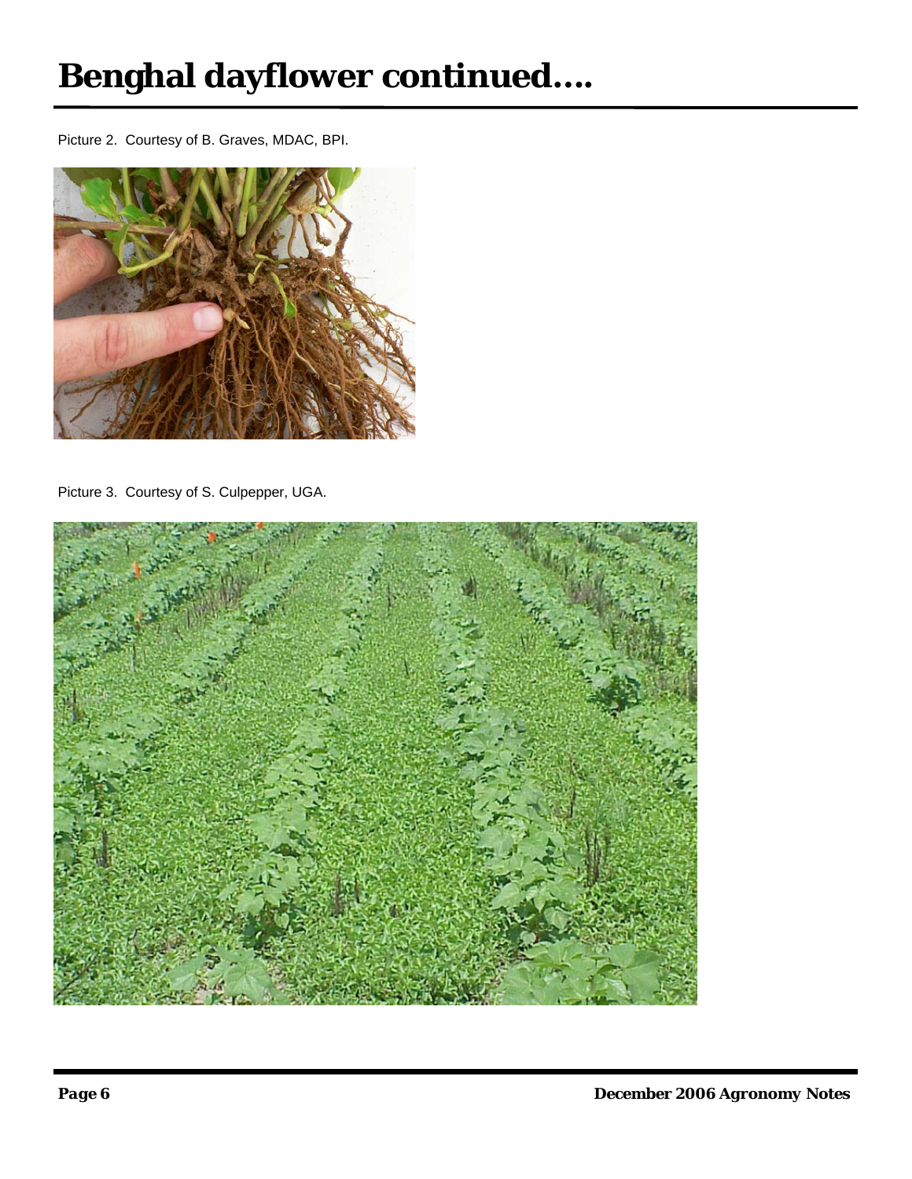# **Benghal dayflower continued….**

Picture 2. Courtesy of B. Graves, MDAC, BPI.



Picture 3. Courtesy of S. Culpepper, UGA.